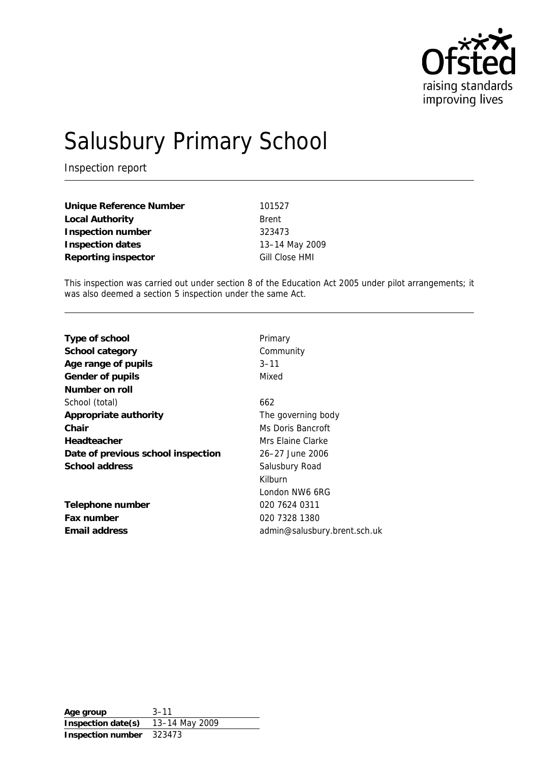

# Salusbury Primary School

Inspection report

| Unique Reference Number | 101527         |
|-------------------------|----------------|
| Local Authority         | <b>Brent</b>   |
| Inspection number       | 323473         |
| Inspection dates        | 13-14 May 2009 |
| Reporting inspector     | Gill Close HMI |

This inspection was carried out under section 8 of the Education Act 2005 under pilot arrangements; it was also deemed a section 5 inspection under the same Act.

| Type of school                     | Primary                      |
|------------------------------------|------------------------------|
| School category                    | Community                    |
| Age range of pupils                | $3 - 11$                     |
| Gender of pupils                   | Mixed                        |
| Number on roll                     |                              |
| School (total)                     | 662                          |
| Appropriate authority              | The governing body           |
| Chair                              | Ms Doris Bancroft            |
| Headteacher                        | Mrs Elaine Clarke            |
| Date of previous school inspection | 26-27 June 2006              |
| School address                     | Salusbury Road               |
|                                    | Kilburn                      |
|                                    | London NW6 6RG               |
| Telephone number                   | 020 7624 0311                |
| Fax number                         | 020 7328 1380                |
| Email address                      | admin@salusbury.brent.sch.uk |
|                                    |                              |

**Age group** 3–11 **Inspection date(s)** 13–14 May 2009 **Inspection number** 323473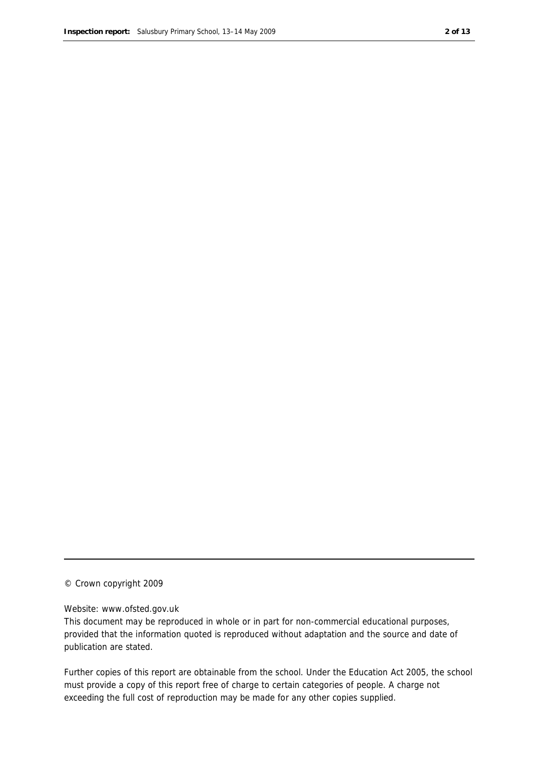#### © Crown copyright 2009

#### Website: www.ofsted.gov.uk

This document may be reproduced in whole or in part for non-commercial educational purposes, provided that the information quoted is reproduced without adaptation and the source and date of publication are stated.

Further copies of this report are obtainable from the school. Under the Education Act 2005, the school must provide a copy of this report free of charge to certain categories of people. A charge not exceeding the full cost of reproduction may be made for any other copies supplied.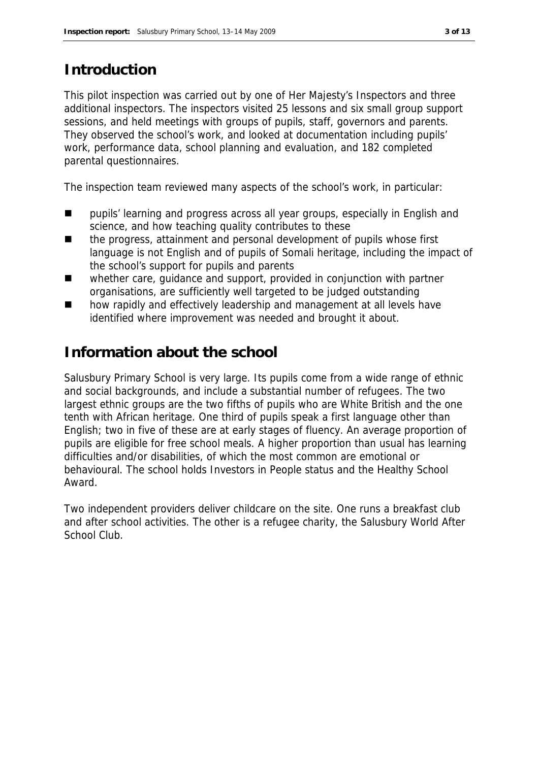#### **Introduction**

This pilot inspection was carried out by one of Her Majesty's Inspectors and three additional inspectors. The inspectors visited 25 lessons and six small group support sessions, and held meetings with groups of pupils, staff, governors and parents. They observed the school's work, and looked at documentation including pupils' work, performance data, school planning and evaluation, and 182 completed parental questionnaires.

The inspection team reviewed many aspects of the school's work, in particular:

- **Paragely** pupils' learning and progress across all year groups, especially in English and science, and how teaching quality contributes to these
- the progress, attainment and personal development of pupils whose first language is not English and of pupils of Somali heritage, including the impact of the school's support for pupils and parents
- whether care, quidance and support, provided in conjunction with partner organisations, are sufficiently well targeted to be judged outstanding
- **how rapidly and effectively leadership and management at all levels have** identified where improvement was needed and brought it about.

#### **Information about the school**

Salusbury Primary School is very large. Its pupils come from a wide range of ethnic and social backgrounds, and include a substantial number of refugees. The two largest ethnic groups are the two fifths of pupils who are White British and the one tenth with African heritage. One third of pupils speak a first language other than English; two in five of these are at early stages of fluency. An average proportion of pupils are eligible for free school meals. A higher proportion than usual has learning difficulties and/or disabilities, of which the most common are emotional or behavioural. The school holds Investors in People status and the Healthy School Award.

Two independent providers deliver childcare on the site. One runs a breakfast club and after school activities. The other is a refugee charity, the Salusbury World After School Club.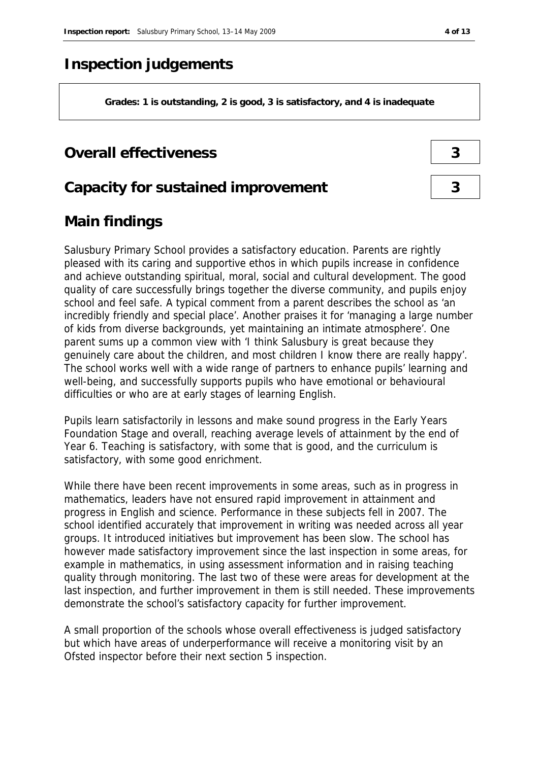#### **Inspection judgements**

**Grades: 1 is outstanding, 2 is good, 3 is satisfactory, and 4 is inadequate**

#### **Overall effectiveness 3**

#### **Capacity for sustained improvement 3**

#### **Main findings**

Salusbury Primary School provides a satisfactory education. Parents are rightly pleased with its caring and supportive ethos in which pupils increase in confidence and achieve outstanding spiritual, moral, social and cultural development. The good quality of care successfully brings together the diverse community, and pupils enjoy school and feel safe. A typical comment from a parent describes the school as 'an incredibly friendly and special place'. Another praises it for 'managing a large number of kids from diverse backgrounds, yet maintaining an intimate atmosphere'. One parent sums up a common view with 'I think Salusbury is great because they genuinely care about the children, and most children I know there are really happy'. The school works well with a wide range of partners to enhance pupils' learning and well-being, and successfully supports pupils who have emotional or behavioural difficulties or who are at early stages of learning English.

Pupils learn satisfactorily in lessons and make sound progress in the Early Years Foundation Stage and overall, reaching average levels of attainment by the end of Year 6. Teaching is satisfactory, with some that is good, and the curriculum is satisfactory, with some good enrichment.

While there have been recent improvements in some areas, such as in progress in mathematics, leaders have not ensured rapid improvement in attainment and progress in English and science. Performance in these subjects fell in 2007. The school identified accurately that improvement in writing was needed across all year groups. It introduced initiatives but improvement has been slow. The school has however made satisfactory improvement since the last inspection in some areas, for example in mathematics, in using assessment information and in raising teaching quality through monitoring. The last two of these were areas for development at the last inspection, and further improvement in them is still needed. These improvements demonstrate the school's satisfactory capacity for further improvement.

A small proportion of the schools whose overall effectiveness is judged satisfactory but which have areas of underperformance will receive a monitoring visit by an Ofsted inspector before their next section 5 inspection.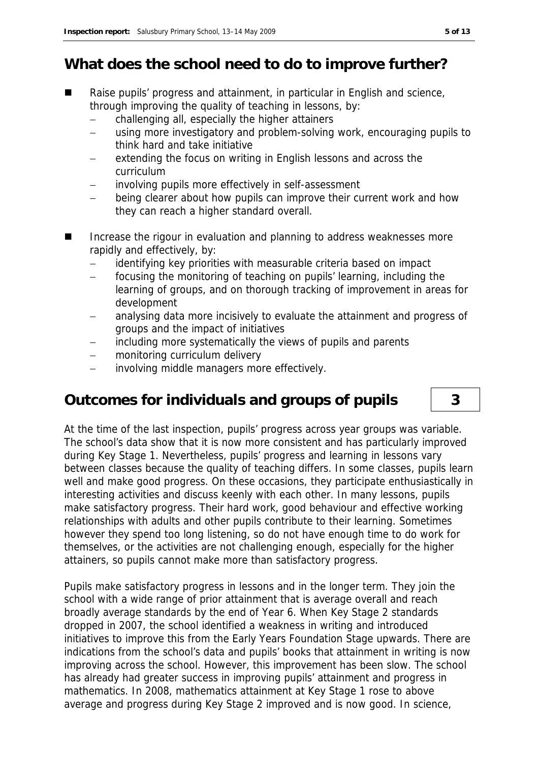#### **What does the school need to do to improve further?**

- Raise pupils' progress and attainment, in particular in English and science, through improving the quality of teaching in lessons, by:
	- challenging all, especially the higher attainers
	- using more investigatory and problem-solving work, encouraging pupils to think hard and take initiative
	- extending the focus on writing in English lessons and across the curriculum
	- involving pupils more effectively in self-assessment
	- being clearer about how pupils can improve their current work and how they can reach a higher standard overall.
- Increase the rigour in evaluation and planning to address weaknesses more rapidly and effectively, by:
	- identifying key priorities with measurable criteria based on impact
	- focusing the monitoring of teaching on pupils' learning, including the learning of groups, and on thorough tracking of improvement in areas for development
	- analysing data more incisively to evaluate the attainment and progress of groups and the impact of initiatives
	- including more systematically the views of pupils and parents
	- monitoring curriculum delivery
	- involving middle managers more effectively.

#### **Outcomes for individuals and groups of pupils 3**

At the time of the last inspection, pupils' progress across year groups was variable. The school's data show that it is now more consistent and has particularly improved during Key Stage 1. Nevertheless, pupils' progress and learning in lessons vary between classes because the quality of teaching differs. In some classes, pupils learn well and make good progress. On these occasions, they participate enthusiastically in interesting activities and discuss keenly with each other. In many lessons, pupils make satisfactory progress. Their hard work, good behaviour and effective working relationships with adults and other pupils contribute to their learning. Sometimes however they spend too long listening, so do not have enough time to do work for themselves, or the activities are not challenging enough, especially for the higher attainers, so pupils cannot make more than satisfactory progress.

Pupils make satisfactory progress in lessons and in the longer term. They join the school with a wide range of prior attainment that is average overall and reach broadly average standards by the end of Year 6. When Key Stage 2 standards dropped in 2007, the school identified a weakness in writing and introduced initiatives to improve this from the Early Years Foundation Stage upwards. There are indications from the school's data and pupils' books that attainment in writing is now improving across the school. However, this improvement has been slow. The school has already had greater success in improving pupils' attainment and progress in mathematics. In 2008, mathematics attainment at Key Stage 1 rose to above average and progress during Key Stage 2 improved and is now good. In science,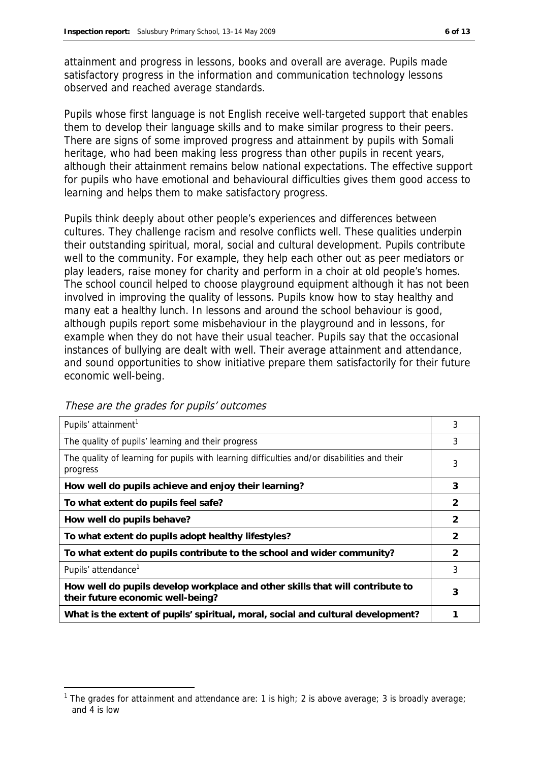attainment and progress in lessons, books and overall are average. Pupils made satisfactory progress in the information and communication technology lessons observed and reached average standards.

Pupils whose first language is not English receive well-targeted support that enables them to develop their language skills and to make similar progress to their peers. There are signs of some improved progress and attainment by pupils with Somali heritage, who had been making less progress than other pupils in recent years, although their attainment remains below national expectations. The effective support for pupils who have emotional and behavioural difficulties gives them good access to learning and helps them to make satisfactory progress.

Pupils think deeply about other people's experiences and differences between cultures. They challenge racism and resolve conflicts well. These qualities underpin their outstanding spiritual, moral, social and cultural development. Pupils contribute well to the community. For example, they help each other out as peer mediators or play leaders, raise money for charity and perform in a choir at old people's homes. The school council helped to choose playground equipment although it has not been involved in improving the quality of lessons. Pupils know how to stay healthy and many eat a healthy lunch. In lessons and around the school behaviour is good, although pupils report some misbehaviour in the playground and in lessons, for example when they do not have their usual teacher. Pupils say that the occasional instances of bullying are dealt with well. Their average attainment and attendance, and sound opportunities to show initiative prepare them satisfactorily for their future economic well-being.

| Pupils' attainment <sup>1</sup>                                                                                    | 3              |
|--------------------------------------------------------------------------------------------------------------------|----------------|
| The quality of pupils' learning and their progress                                                                 | 3              |
| The quality of learning for pupils with learning difficulties and/or disabilities and their<br>progress            | 3              |
| How well do pupils achieve and enjoy their learning?                                                               | 3              |
| To what extent do pupils feel safe?                                                                                | $\overline{2}$ |
| How well do pupils behave?                                                                                         | 2              |
| To what extent do pupils adopt healthy lifestyles?                                                                 | $\mathcal{D}$  |
| To what extent do pupils contribute to the school and wider community?                                             | $\mathcal{P}$  |
| Pupils' attendance <sup>1</sup>                                                                                    | 3              |
| How well do pupils develop workplace and other skills that will contribute to<br>their future economic well-being? | 3              |
| What is the extent of pupils' spiritual, moral, social and cultural development?                                   |                |

These are the grades for pupils' outcomes

-

<sup>&</sup>lt;sup>1</sup> The grades for attainment and attendance are: 1 is high; 2 is above average; 3 is broadly average; and 4 is low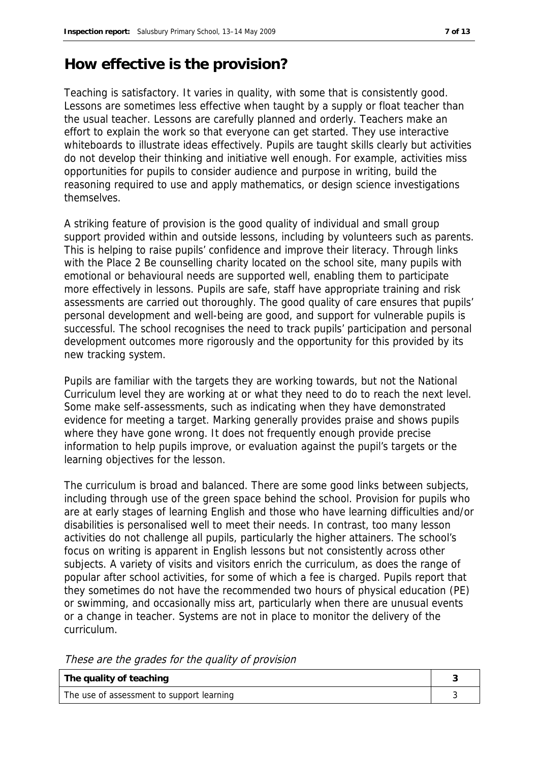## **How effective is the provision?**

Teaching is satisfactory. It varies in quality, with some that is consistently good. Lessons are sometimes less effective when taught by a supply or float teacher than the usual teacher. Lessons are carefully planned and orderly. Teachers make an effort to explain the work so that everyone can get started. They use interactive whiteboards to illustrate ideas effectively. Pupils are taught skills clearly but activities do not develop their thinking and initiative well enough. For example, activities miss opportunities for pupils to consider audience and purpose in writing, build the reasoning required to use and apply mathematics, or design science investigations themselves.

A striking feature of provision is the good quality of individual and small group support provided within and outside lessons, including by volunteers such as parents. This is helping to raise pupils' confidence and improve their literacy. Through links with the Place 2 Be counselling charity located on the school site, many pupils with emotional or behavioural needs are supported well, enabling them to participate more effectively in lessons. Pupils are safe, staff have appropriate training and risk assessments are carried out thoroughly. The good quality of care ensures that pupils' personal development and well-being are good, and support for vulnerable pupils is successful. The school recognises the need to track pupils' participation and personal development outcomes more rigorously and the opportunity for this provided by its new tracking system.

Pupils are familiar with the targets they are working towards, but not the National Curriculum level they are working at or what they need to do to reach the next level. Some make self-assessments, such as indicating when they have demonstrated evidence for meeting a target. Marking generally provides praise and shows pupils where they have gone wrong. It does not frequently enough provide precise information to help pupils improve, or evaluation against the pupil's targets or the learning objectives for the lesson.

The curriculum is broad and balanced. There are some good links between subjects, including through use of the green space behind the school. Provision for pupils who are at early stages of learning English and those who have learning difficulties and/or disabilities is personalised well to meet their needs. In contrast, too many lesson activities do not challenge all pupils, particularly the higher attainers. The school's focus on writing is apparent in English lessons but not consistently across other subjects. A variety of visits and visitors enrich the curriculum, as does the range of popular after school activities, for some of which a fee is charged. Pupils report that they sometimes do not have the recommended two hours of physical education (PE) or swimming, and occasionally miss art, particularly when there are unusual events or a change in teacher. Systems are not in place to monitor the delivery of the curriculum.

These are the grades for the quality of provision

| The quality of teaching                   |  |
|-------------------------------------------|--|
| The use of assessment to support learning |  |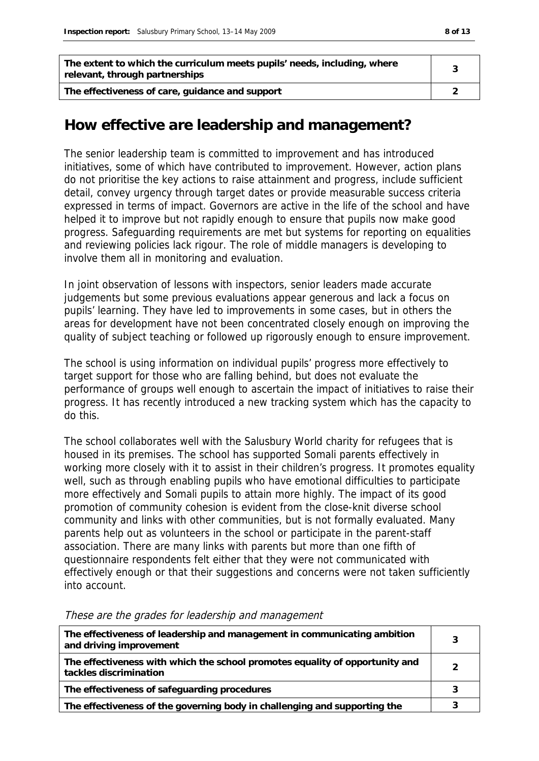| The extent to which the curriculum meets pupils' needs, including, where<br>relevant, through partnerships |  |
|------------------------------------------------------------------------------------------------------------|--|
| The effectiveness of care, guidance and support                                                            |  |

#### **How effective are leadership and management?**

The senior leadership team is committed to improvement and has introduced initiatives, some of which have contributed to improvement. However, action plans do not prioritise the key actions to raise attainment and progress, include sufficient detail, convey urgency through target dates or provide measurable success criteria expressed in terms of impact. Governors are active in the life of the school and have helped it to improve but not rapidly enough to ensure that pupils now make good progress. Safeguarding requirements are met but systems for reporting on equalities and reviewing policies lack rigour. The role of middle managers is developing to involve them all in monitoring and evaluation.

In joint observation of lessons with inspectors, senior leaders made accurate judgements but some previous evaluations appear generous and lack a focus on pupils' learning. They have led to improvements in some cases, but in others the areas for development have not been concentrated closely enough on improving the quality of subject teaching or followed up rigorously enough to ensure improvement.

The school is using information on individual pupils' progress more effectively to target support for those who are falling behind, but does not evaluate the performance of groups well enough to ascertain the impact of initiatives to raise their progress. It has recently introduced a new tracking system which has the capacity to do this.

The school collaborates well with the Salusbury World charity for refugees that is housed in its premises. The school has supported Somali parents effectively in working more closely with it to assist in their children's progress. It promotes equality well, such as through enabling pupils who have emotional difficulties to participate more effectively and Somali pupils to attain more highly. The impact of its good promotion of community cohesion is evident from the close-knit diverse school community and links with other communities, but is not formally evaluated. Many parents help out as volunteers in the school or participate in the parent-staff association. There are many links with parents but more than one fifth of questionnaire respondents felt either that they were not communicated with effectively enough or that their suggestions and concerns were not taken sufficiently into account.

| The effectiveness of leadership and management in communicating ambition<br>and driving improvement    | 3 |
|--------------------------------------------------------------------------------------------------------|---|
| The effectiveness with which the school promotes equality of opportunity and<br>tackles discrimination |   |
| The effectiveness of safeguarding procedures                                                           |   |
| The effectiveness of the governing body in challenging and supporting the                              |   |

These are the grades for leadership and management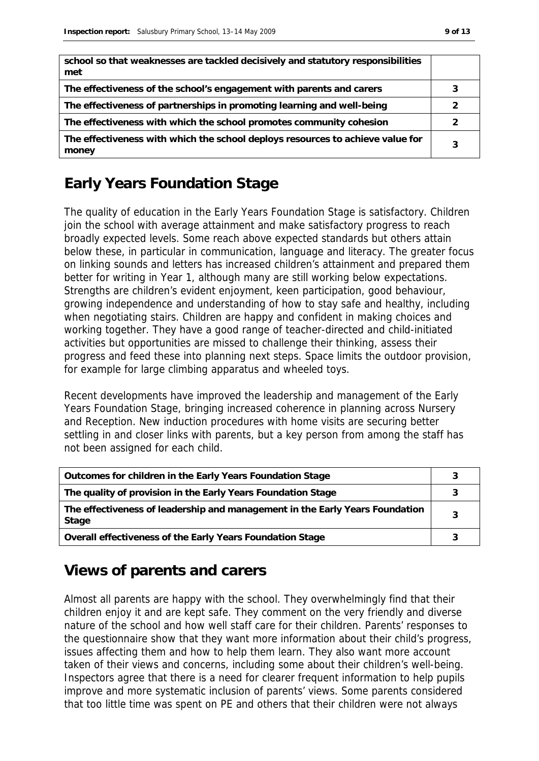| school so that weaknesses are tackled decisively and statutory responsibilities<br>met  |  |
|-----------------------------------------------------------------------------------------|--|
| The effectiveness of the school's engagement with parents and carers                    |  |
| The effectiveness of partnerships in promoting learning and well-being                  |  |
| The effectiveness with which the school promotes community cohesion                     |  |
| The effectiveness with which the school deploys resources to achieve value for<br>money |  |

### **Early Years Foundation Stage**

The quality of education in the Early Years Foundation Stage is satisfactory. Children join the school with average attainment and make satisfactory progress to reach broadly expected levels. Some reach above expected standards but others attain below these, in particular in communication, language and literacy. The greater focus on linking sounds and letters has increased children's attainment and prepared them better for writing in Year 1, although many are still working below expectations. Strengths are children's evident enjoyment, keen participation, good behaviour, growing independence and understanding of how to stay safe and healthy, including when negotiating stairs. Children are happy and confident in making choices and working together. They have a good range of teacher-directed and child-initiated activities but opportunities are missed to challenge their thinking, assess their progress and feed these into planning next steps. Space limits the outdoor provision, for example for large climbing apparatus and wheeled toys.

Recent developments have improved the leadership and management of the Early Years Foundation Stage, bringing increased coherence in planning across Nursery and Reception. New induction procedures with home visits are securing better settling in and closer links with parents, but a key person from among the staff has not been assigned for each child.

| Outcomes for children in the Early Years Foundation Stage                             |  |
|---------------------------------------------------------------------------------------|--|
| The quality of provision in the Early Years Foundation Stage                          |  |
| The effectiveness of leadership and management in the Early Years Foundation<br>Stage |  |
| Overall effectiveness of the Early Years Foundation Stage                             |  |

#### **Views of parents and carers**

Almost all parents are happy with the school. They overwhelmingly find that their children enjoy it and are kept safe. They comment on the very friendly and diverse nature of the school and how well staff care for their children. Parents' responses to the questionnaire show that they want more information about their child's progress, issues affecting them and how to help them learn. They also want more account taken of their views and concerns, including some about their children's well-being. Inspectors agree that there is a need for clearer frequent information to help pupils improve and more systematic inclusion of parents' views. Some parents considered that too little time was spent on PE and others that their children were not always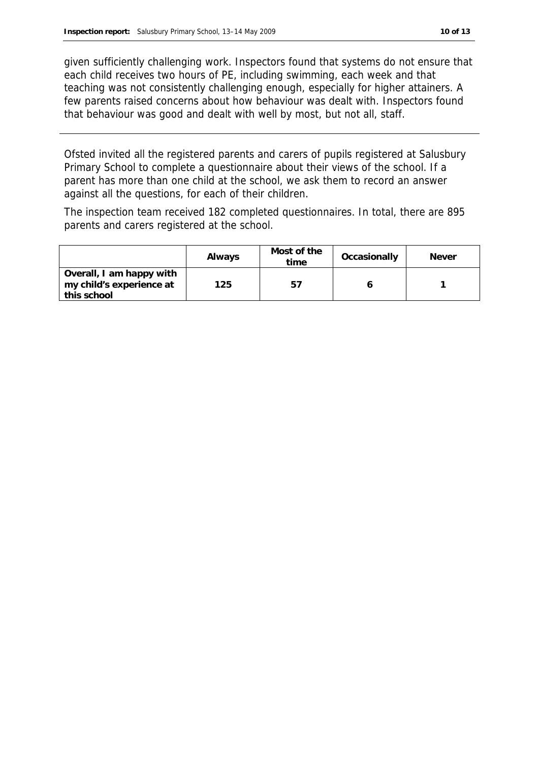given sufficiently challenging work. Inspectors found that systems do not ensure that each child receives two hours of PE, including swimming, each week and that teaching was not consistently challenging enough, especially for higher attainers. A few parents raised concerns about how behaviour was dealt with. Inspectors found that behaviour was good and dealt with well by most, but not all, staff.

Ofsted invited all the registered parents and carers of pupils registered at Salusbury Primary School to complete a questionnaire about their views of the school. If a parent has more than one child at the school, we ask them to record an answer against all the questions, for each of their children.

The inspection team received 182 completed questionnaires. In total, there are 895 parents and carers registered at the school.

|                                                                     | Always | Most of the<br>time | Occasionally | Never |
|---------------------------------------------------------------------|--------|---------------------|--------------|-------|
| Overall, I am happy with<br>my child's experience at<br>this school | 125    | 57                  |              |       |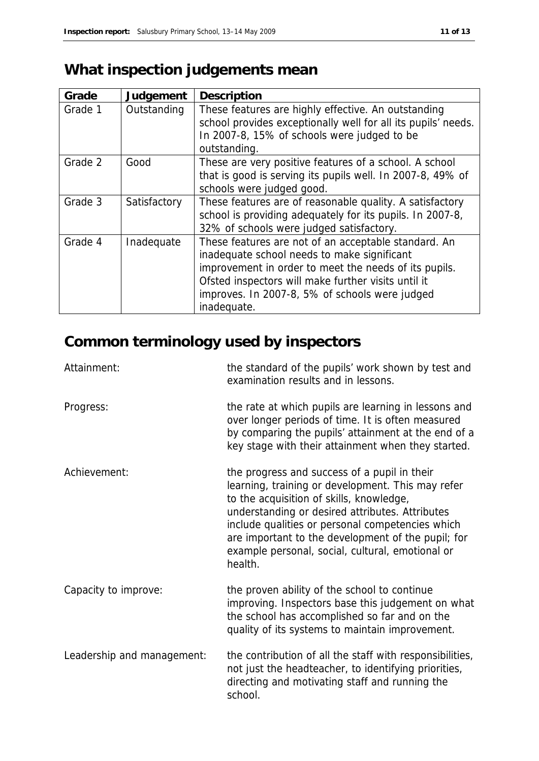# **What inspection judgements mean**

| Grade   | Judgement    | Description                                                                                                                                                                                                                                                                          |
|---------|--------------|--------------------------------------------------------------------------------------------------------------------------------------------------------------------------------------------------------------------------------------------------------------------------------------|
| Grade 1 | Outstanding  | These features are highly effective. An outstanding<br>school provides exceptionally well for all its pupils' needs.<br>In 2007-8, 15% of schools were judged to be<br>outstanding.                                                                                                  |
| Grade 2 | Good         | These are very positive features of a school. A school<br>that is good is serving its pupils well. In 2007-8, 49% of<br>schools were judged good.                                                                                                                                    |
| Grade 3 | Satisfactory | These features are of reasonable quality. A satisfactory<br>school is providing adequately for its pupils. In 2007-8,<br>32% of schools were judged satisfactory.                                                                                                                    |
| Grade 4 | Inadequate   | These features are not of an acceptable standard. An<br>inadequate school needs to make significant<br>improvement in order to meet the needs of its pupils.<br>Ofsted inspectors will make further visits until it<br>improves. In 2007-8, 5% of schools were judged<br>inadequate. |

# **Common terminology used by inspectors**

| Attainment:                | the standard of the pupils' work shown by test and<br>examination results and in lessons.                                                                                                                                                                                                                                                                                 |
|----------------------------|---------------------------------------------------------------------------------------------------------------------------------------------------------------------------------------------------------------------------------------------------------------------------------------------------------------------------------------------------------------------------|
| Progress:                  | the rate at which pupils are learning in lessons and<br>over longer periods of time. It is often measured<br>by comparing the pupils' attainment at the end of a<br>key stage with their attainment when they started.                                                                                                                                                    |
| Achievement:               | the progress and success of a pupil in their<br>learning, training or development. This may refer<br>to the acquisition of skills, knowledge,<br>understanding or desired attributes. Attributes<br>include qualities or personal competencies which<br>are important to the development of the pupil; for<br>example personal, social, cultural, emotional or<br>health. |
| Capacity to improve:       | the proven ability of the school to continue<br>improving. Inspectors base this judgement on what<br>the school has accomplished so far and on the<br>quality of its systems to maintain improvement.                                                                                                                                                                     |
| Leadership and management: | the contribution of all the staff with responsibilities,<br>not just the headteacher, to identifying priorities,<br>directing and motivating staff and running the<br>school.                                                                                                                                                                                             |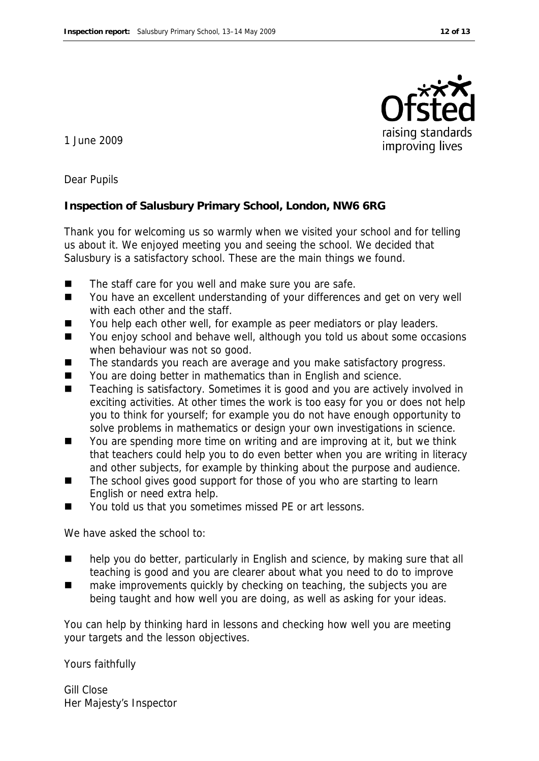

1 June 2009

Dear Pupils

**Inspection of Salusbury Primary School, London, NW6 6RG**

Thank you for welcoming us so warmly when we visited your school and for telling us about it. We enjoyed meeting you and seeing the school. We decided that Salusbury is a satisfactory school. These are the main things we found.

- The staff care for you well and make sure you are safe.
- You have an excellent understanding of your differences and get on very well with each other and the staff.
- You help each other well, for example as peer mediators or play leaders.
- You enjoy school and behave well, although you told us about some occasions when behaviour was not so good.
- The standards you reach are average and you make satisfactory progress.
- You are doing better in mathematics than in English and science.
- Teaching is satisfactory. Sometimes it is good and you are actively involved in exciting activities. At other times the work is too easy for you or does not help you to think for yourself; for example you do not have enough opportunity to solve problems in mathematics or design your own investigations in science.
- You are spending more time on writing and are improving at it, but we think that teachers could help you to do even better when you are writing in literacy and other subjects, for example by thinking about the purpose and audience.
- The school gives good support for those of you who are starting to learn English or need extra help.
- You told us that you sometimes missed PE or art lessons.

We have asked the school to:

- help you do better, particularly in English and science, by making sure that all teaching is good and you are clearer about what you need to do to improve
- make improvements quickly by checking on teaching, the subjects you are being taught and how well you are doing, as well as asking for your ideas.

You can help by thinking hard in lessons and checking how well you are meeting your targets and the lesson objectives.

Yours faithfully

Gill Close Her Majesty's Inspector